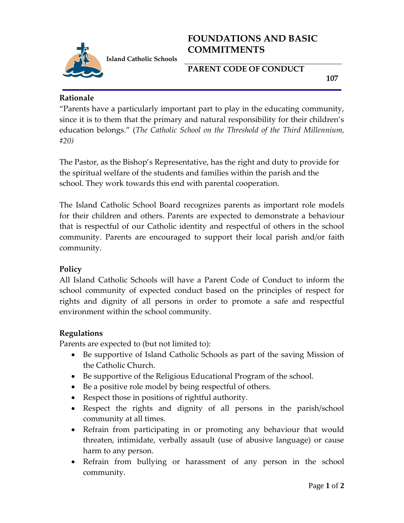

# **FOUNDATIONS AND BASIC COMMITMENTS**

**PARENT CODE OF CONDUCT** 

 **107**

#### **Rationale**

"Parents have a particularly important part to play in the educating community, since it is to them that the primary and natural responsibility for their children's education belongs." (*The Catholic School on the Threshold of the Third Millennium, #20)*

The Pastor, as the Bishop's Representative, has the right and duty to provide for the spiritual welfare of the students and families within the parish and the school. They work towards this end with parental cooperation.

The Island Catholic School Board recognizes parents as important role models for their children and others. Parents are expected to demonstrate a behaviour that is respectful of our Catholic identity and respectful of others in the school community. Parents are encouraged to support their local parish and/or faith community.

### **Policy**

All Island Catholic Schools will have a Parent Code of Conduct to inform the school community of expected conduct based on the principles of respect for rights and dignity of all persons in order to promote a safe and respectful environment within the school community.

### **Regulations**

Parents are expected to (but not limited to):

- Be supportive of Island Catholic Schools as part of the saving Mission of the Catholic Church.
- Be supportive of the Religious Educational Program of the school.
- Be a positive role model by being respectful of others.
- Respect those in positions of rightful authority.
- Respect the rights and dignity of all persons in the parish/school community at all times.
- Refrain from participating in or promoting any behaviour that would threaten, intimidate, verbally assault (use of abusive language) or cause harm to any person.
- Refrain from bullying or harassment of any person in the school community.